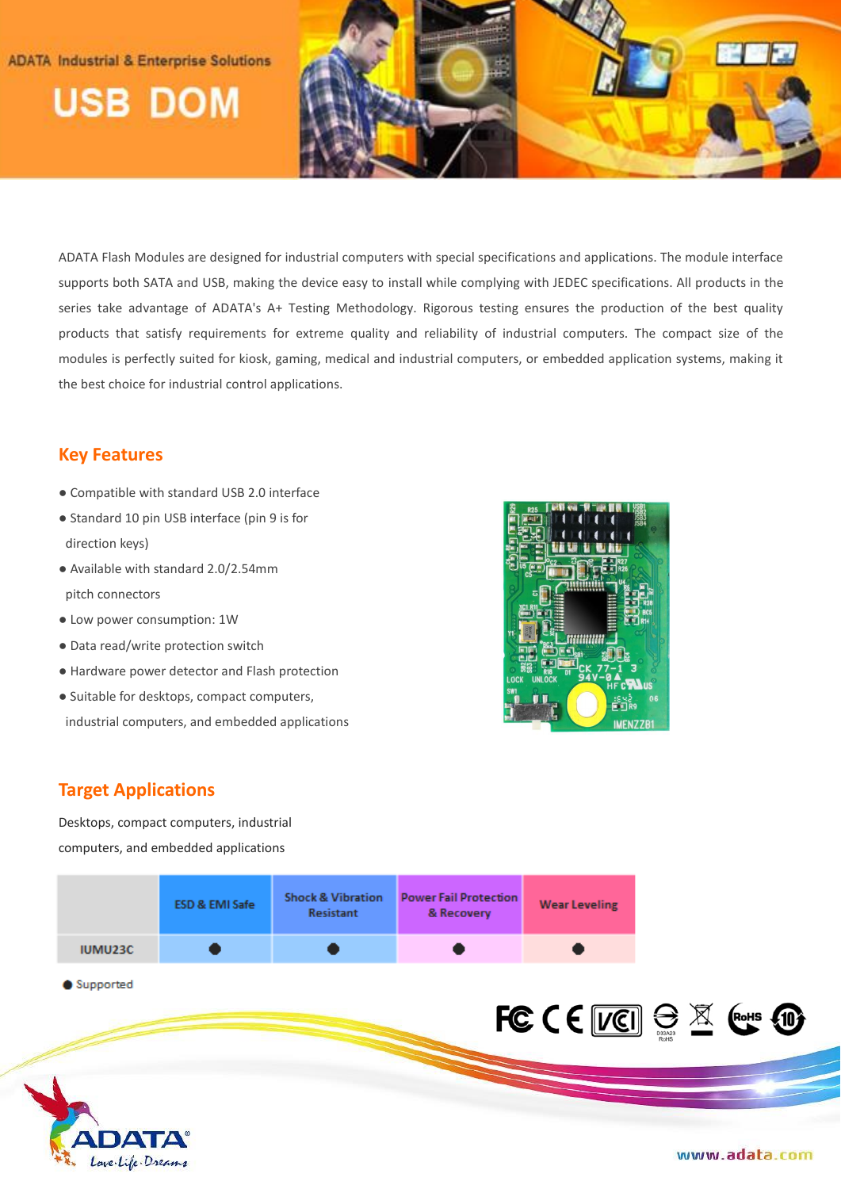## **ADATA Industrial & Enterprise Solutions**

**USB DOM** 



ADATA Flash Modules are designed for industrial computers with special specifications and applications. The module interface supports both SATA and USB, making the device easy to install while complying with JEDEC specifications. All products in the series take advantage of ADATA's A+ Testing Methodology. Rigorous testing ensures the production of the best quality products that satisfy requirements for extreme quality and reliability of industrial computers. The compact size of the modules is perfectly suited for kiosk, gaming, medical and industrial computers, or embedded application systems, making it the best choice for industrial control applications.

# **Key Features**

- Compatible with standard USB 2.0 interface
- Standard 10 pin USB interface (pin 9 is for direction keys)
- Available with standard 2.0/2.54mm pitch connectors
- Low power consumption: 1W
- Data read/write protection switch
- Hardware power detector and Flash protection
- Suitable for desktops, compact computers, industrial computers, and embedded applications



# **Target Applications**

Desktops, compact computers, industrial computers, and embedded applications

|                | <b>ESD &amp; EMI Safe</b> | <b>Shock &amp; Vibration</b><br>Resistant | <b>Power Fail Protection</b><br>& Recovery | <b>Wear Leveling</b> |
|----------------|---------------------------|-------------------------------------------|--------------------------------------------|----------------------|
| <b>IUMU23C</b> |                           |                                           |                                            |                      |

Supported



www.adata.com

FCCE VEI SEX Ents